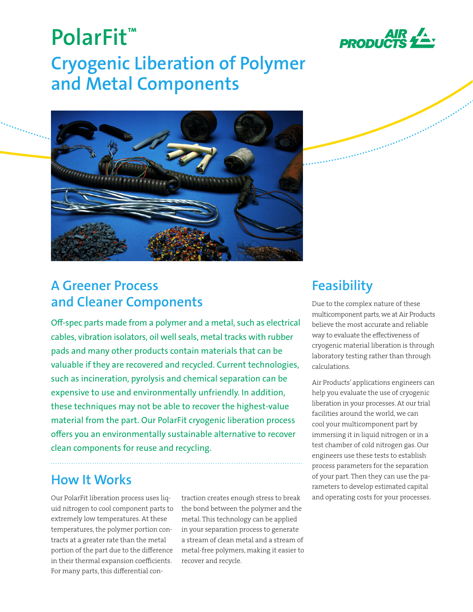

# **PolarFit™ Cryogenic Liberation of Polymer and Metal Components**



### **A Greener Process and Cleaner Components**

Off-spec parts made from a polymer and a metal, such as electrical cables, vibration isolators, oil well seals, metal tracks with rubber pads and many other products contain materials that can be valuable if they are recovered and recycled. Current technologies, such as incineration, pyrolysis and chemical separation can be expensive to use and environmentally unfriendly. In addition, these techniques may not be able to recover the highest-value material from the part. Our PolarFit cryogenic liberation process offers you an environmentally sustainable alternative to recover clean components for reuse and recycling.

## **How It Works**

Our PolarFit liberation process uses liquid nitrogen to cool component parts to extremely low temperatures. At these temperatures, the polymer portion contracts at a greater rate than the metal portion of the part due to the difference in their thermal expansion coefficients. For many parts, this differential contraction creates enough stress to break the bond between the polymer and the metal. This technology can be applied in your separation process to generate a stream of clean metal and a stream of metal-free polymers, making it easier to recover and recycle.

## **Feasibility**

Due to the complex nature of these multicomponent parts, we at Air Products believe the most accurate and reliable way to evaluate the effectiveness of cryogenic material liberation is through laboratory testing rather than through calculations.

Air Products' applications engineers can help you evaluate the use of cryogenic liberation in your processes. At our trial facilities around the world, we can cool your multicomponent part by immersing it in liquid nitrogen or in a test chamber of cold nitrogen gas. Our engineers use these tests to establish process parameters for the separation of your part. Then they can use the parameters to develop estimated capital and operating costs for your processes.